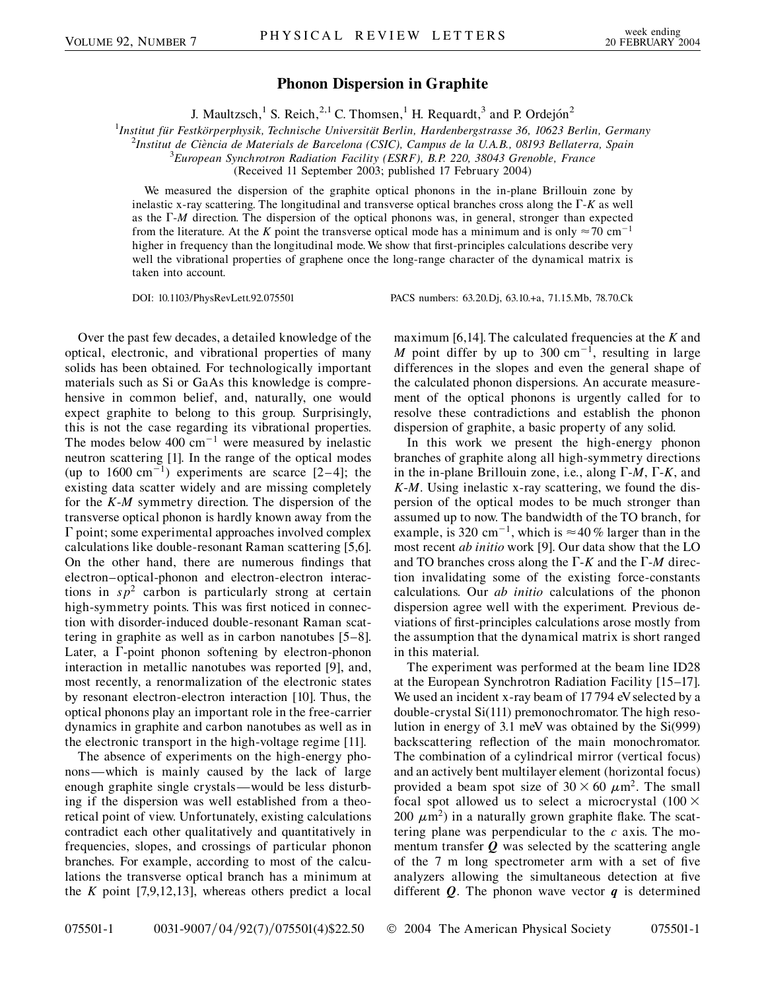## **Phonon Dispersion in Graphite**

J. Maultzsch,<sup>1</sup> S. Reich,<sup>2,1</sup> C. Thomsen,<sup>1</sup> H. Requardt,<sup>3</sup> and P. Ordejón<sup>2</sup>

<sup>1</sup>Institut für Festkörperphysik, Technische Universität Berlin, Hardenbergstrasse 36, 10623 Berlin, Germany<br><sup>2</sup>Institut de Ciència de Materials de Barcelona (CSIC), Campus de la UA B, 08103 Bellaterra, Spain

*Institut de Cie`ncia de Materials de Barcelona (CSIC), Campus de la U.A.B., 08193 Bellaterra, Spain* <sup>3</sup>

*European Synchrotron Radiation Facility (ESRF), B.P. 220, 38043 Grenoble, France*

(Received 11 September 2003; published 17 February 2004)

We measured the dispersion of the graphite optical phonons in the in-plane Brillouin zone by inelastic x-ray scattering. The longitudinal and transverse optical branches cross along the  $\Gamma$ -K as well as the  $\Gamma$ -*M* direction. The dispersion of the optical phonons was, in general, stronger than expected from the literature. At the *K* point the transverse optical mode has a minimum and is only  $\approx 70 \text{ cm}^{-1}$ higher in frequency than the longitudinal mode. We show that first-principles calculations describe very well the vibrational properties of graphene once the long-range character of the dynamical matrix is taken into account.

DOI: 10.1103/PhysRevLett.92.075501 PACS numbers: 63.20.Dj, 63.10.+a, 71.15.Mb, 78.70.Ck

Over the past few decades, a detailed knowledge of the optical, electronic, and vibrational properties of many solids has been obtained. For technologically important materials such as Si or GaAs this knowledge is comprehensive in common belief, and, naturally, one would expect graphite to belong to this group. Surprisingly, this is not the case regarding its vibrational properties. The modes below  $400 \text{ cm}^{-1}$  were measured by inelastic neutron scattering [1]. In the range of the optical modes (up to  $1600 \text{ cm}^{-1}$ ) experiments are scarce  $[2-4]$ ; the existing data scatter widely and are missing completely for the *K*-*M* symmetry direction. The dispersion of the transverse optical phonon is hardly known away from the  $\Gamma$  point; some experimental approaches involved complex calculations like double-resonant Raman scattering [5,6]. On the other hand, there are numerous findings that electron–optical-phonon and electron-electron interactions in  $sp^2$  carbon is particularly strong at certain high-symmetry points. This was first noticed in connection with disorder-induced double-resonant Raman scattering in graphite as well as in carbon nanotubes [5–8]. Later, a  $\Gamma$ -point phonon softening by electron-phonon interaction in metallic nanotubes was reported [9], and, most recently, a renormalization of the electronic states by resonant electron-electron interaction [10]. Thus, the optical phonons play an important role in the free-carrier dynamics in graphite and carbon nanotubes as well as in the electronic transport in the high-voltage regime [11].

The absence of experiments on the high-energy phonons—which is mainly caused by the lack of large enough graphite single crystals—would be less disturbing if the dispersion was well established from a theoretical point of view. Unfortunately, existing calculations contradict each other qualitatively and quantitatively in frequencies, slopes, and crossings of particular phonon branches. For example, according to most of the calculations the transverse optical branch has a minimum at the *K* point [7,9,12,13], whereas others predict a local maximum [6,14]. The calculated frequencies at the *K* and *M* point differ by up to 300  $cm^{-1}$ , resulting in large differences in the slopes and even the general shape of the calculated phonon dispersions. An accurate measurement of the optical phonons is urgently called for to resolve these contradictions and establish the phonon dispersion of graphite, a basic property of any solid.

In this work we present the high-energy phonon branches of graphite along all high-symmetry directions in the in-plane Brillouin zone, i.e., along  $\Gamma$ -*M*,  $\Gamma$ -*K*, and *K*-*M*. Using inelastic x-ray scattering, we found the dispersion of the optical modes to be much stronger than assumed up to now. The bandwidth of the TO branch, for example, is 320 cm<sup>-1</sup>, which is  $\approx$  40 % larger than in the most recent *ab initio* work [9]. Our data show that the LO and TO branches cross along the  $\Gamma$ -*K* and the  $\Gamma$ -*M* direction invalidating some of the existing force-constants calculations. Our *ab initio* calculations of the phonon dispersion agree well with the experiment. Previous deviations of first-principles calculations arose mostly from the assumption that the dynamical matrix is short ranged in this material.

The experiment was performed at the beam line ID28 at the European Synchrotron Radiation Facility [15–17]. We used an incident x-ray beam of 17794 eV selected by a double-crystal Si(111) premonochromator. The high resolution in energy of 3.1 meV was obtained by the Si(999) backscattering reflection of the main monochromator. The combination of a cylindrical mirror (vertical focus) and an actively bent multilayer element (horizontal focus) provided a beam spot size of  $30 \times 60 \ \mu \text{m}^2$ . The small focal spot allowed us to select a microcrystal  $(100 \times$ 200  $\mu$ m<sup>2</sup>) in a naturally grown graphite flake. The scattering plane was perpendicular to the *c* axis. The momentum transfer *Q* was selected by the scattering angle of the 7 m long spectrometer arm with a set of five analyzers allowing the simultaneous detection at five different *Q*. The phonon wave vector *q* is determined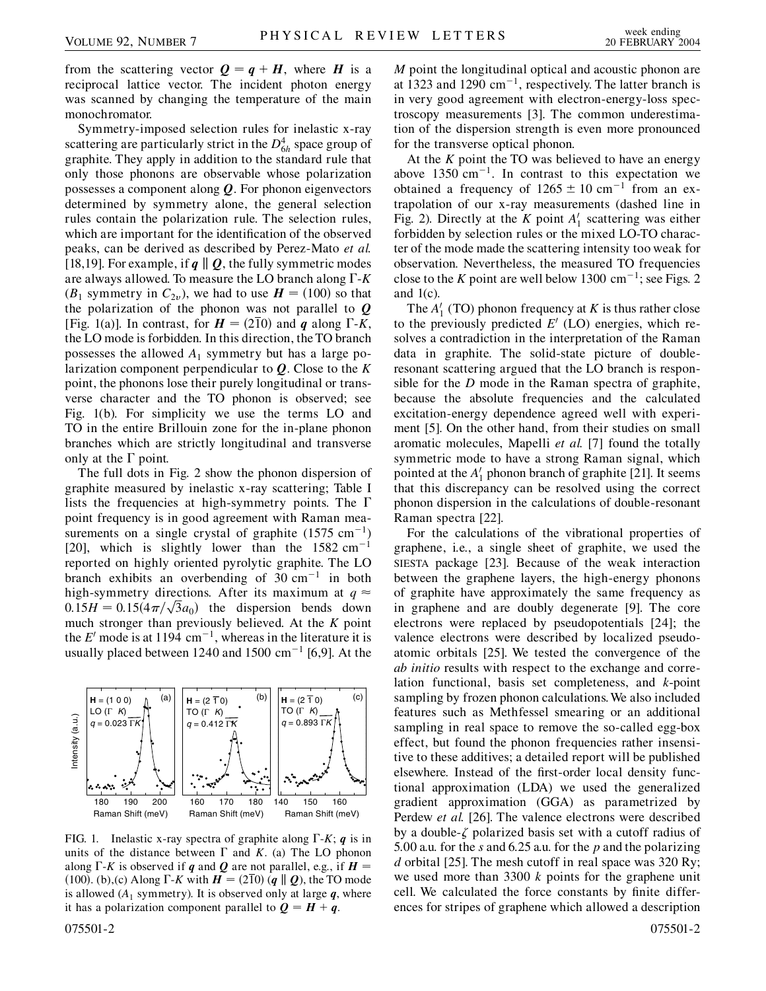from the scattering vector  $Q = q + H$ , where *H* is a reciprocal lattice vector. The incident photon energy was scanned by changing the temperature of the main monochromator.

Symmetry-imposed selection rules for inelastic x-ray scattering are particularly strict in the  $D_{6h}^4$  space group of graphite. They apply in addition to the standard rule that only those phonons are observable whose polarization possesses a component along *Q*. For phonon eigenvectors determined by symmetry alone, the general selection rules contain the polarization rule. The selection rules, which are important for the identification of the observed peaks, can be derived as described by Perez-Mato *et al.* [18,19]. For example, if  $q \parallel Q$ , the fully symmetric modes are always allowed. To measure the LO branch along  $\Gamma$ -*K*  $(B_1$  symmetry in  $C_{2\nu}$ , we had to use  $H = (100)$  so that the polarization of the phonon was not parallel to *Q* [Fig. 1(a)]. In contrast, for  $H = (2\overline{1}0)$  and *q* along  $\Gamma$ -*K*, the LO mode is forbidden. In this direction, the TO branch possesses the allowed  $A_1$  symmetry but has a large polarization component perpendicular to *Q*. Close to the *K* point, the phonons lose their purely longitudinal or transverse character and the TO phonon is observed; see Fig. 1(b). For simplicity we use the terms LO and TO in the entire Brillouin zone for the in-plane phonon branches which are strictly longitudinal and transverse only at the  $\Gamma$  point.

The full dots in Fig. 2 show the phonon dispersion of graphite measured by inelastic x-ray scattering; Table I lists the frequencies at high-symmetry points. The  $\Gamma$ point frequency is in good agreement with Raman measurements on a single crystal of graphite  $(1575 \text{ cm}^{-1})$ [20], which is slightly lower than the  $1582 \text{ cm}^{-1}$ reported on highly oriented pyrolytic graphite. The LO branch exhibits an overbending of  $30 \text{ cm}^{-1}$  in both high-symmetry directions. After its maximum at  $q \approx$ nigh-symmetry directions. After its maximum at  $q \approx 0.15H = 0.15(4\pi/\sqrt{3}a_0)$  the dispersion bends down much stronger than previously believed. At the *K* point the  $E'$  mode is at 1194 cm<sup>-1</sup>, whereas in the literature it is usually placed between 1240 and 1500  $\text{cm}^{-1}$  [6,9]. At the



FIG. 1. Inelastic x-ray spectra of graphite along  $\Gamma$ -*K*; *q* is in units of the distance between  $\Gamma$  and *K*. (a) The LO phonon along  $\Gamma$ -*K* is observed if *q* and *Q* are not parallel, e.g., if  $H =$ (100). (b),(c) Along  $\Gamma$ -*K* with  $H = (2\overline{1}0)$  (*q* || *Q*), the TO mode is allowed  $(A_1$  symmetry). It is observed only at large  $q$ , where it has a polarization component parallel to  $Q = H + q$ .

*M* point the longitudinal optical and acoustic phonon are at 1323 and 1290  $\text{cm}^{-1}$ , respectively. The latter branch is in very good agreement with electron-energy-loss spectroscopy measurements [3]. The common underestimation of the dispersion strength is even more pronounced for the transverse optical phonon.

At the *K* point the TO was believed to have an energy above  $1350 \text{ cm}^{-1}$ . In contrast to this expectation we obtained a frequency of  $1265 \pm 10$  cm<sup>-1</sup> from an extrapolation of our x-ray measurements (dashed line in Fig. 2). Directly at the *K* point  $A'_1$  scattering was either forbidden by selection rules or the mixed LO-TO character of the mode made the scattering intensity too weak for observation. Nevertheless, the measured TO frequencies close to the *K* point are well below 1300  $\text{cm}^{-1}$ ; see Figs. 2 and 1(c).

The  $A'_1$  (TO) phonon frequency at *K* is thus rather close to the previously predicted  $E^{\prime}$  (LO) energies, which resolves a contradiction in the interpretation of the Raman data in graphite. The solid-state picture of doubleresonant scattering argued that the LO branch is responsible for the *D* mode in the Raman spectra of graphite, because the absolute frequencies and the calculated excitation-energy dependence agreed well with experiment [5]. On the other hand, from their studies on small aromatic molecules, Mapelli *et al.* [7] found the totally symmetric mode to have a strong Raman signal, which pointed at the  $A'_1$  phonon branch of graphite [21]. It seems that this discrepancy can be resolved using the correct phonon dispersion in the calculations of double-resonant Raman spectra [22].

For the calculations of the vibrational properties of graphene, i.e., a single sheet of graphite, we used the SIESTA package [23]. Because of the weak interaction between the graphene layers, the high-energy phonons of graphite have approximately the same frequency as in graphene and are doubly degenerate [9]. The core electrons were replaced by pseudopotentials [24]; the valence electrons were described by localized pseudoatomic orbitals [25]. We tested the convergence of the *ab initio* results with respect to the exchange and correlation functional, basis set completeness, and *k*-point sampling by frozen phonon calculations. We also included features such as Methfessel smearing or an additional sampling in real space to remove the so-called egg-box effect, but found the phonon frequencies rather insensitive to these additives; a detailed report will be published elsewhere. Instead of the first-order local density functional approximation (LDA) we used the generalized gradient approximation (GGA) as parametrized by Perdew *et al.* [26]. The valence electrons were described by a double- $\zeta$  polarized basis set with a cutoff radius of 5.00 a.u. for the *s* and 6.25 a.u. for the *p* and the polarizing *d* orbital [25]. The mesh cutoff in real space was 320 Ry; we used more than 3300 *k* points for the graphene unit cell. We calculated the force constants by finite differences for stripes of graphene which allowed a description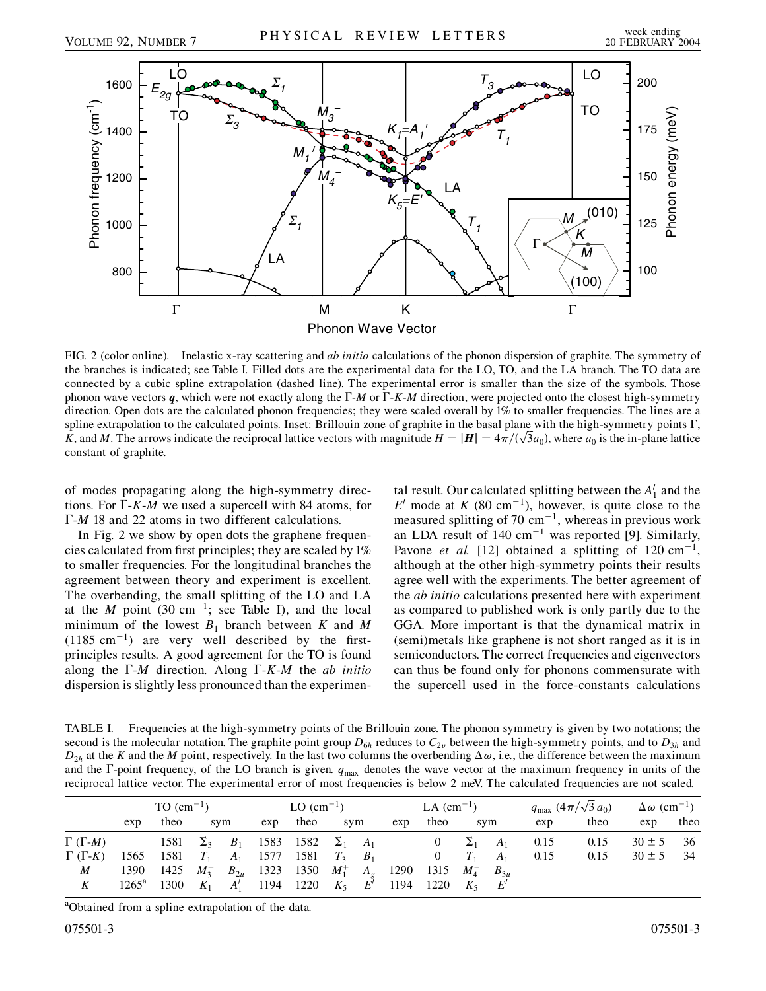

FIG. 2 (color online). Inelastic x-ray scattering and *ab initio* calculations of the phonon dispersion of graphite. The symmetry of the branches is indicated; see Table I. Filled dots are the experimental data for the LO, TO, and the LA branch. The TO data are connected by a cubic spline extrapolation (dashed line). The experimental error is smaller than the size of the symbols. Those phonon wave vectors  $q$ , which were not exactly along the  $\Gamma$ -*M* or  $\Gamma$ -*K*-*M* direction, were projected onto the closest high-symmetry direction. Open dots are the calculated phonon frequencies; they were scaled overall by 1% to smaller frequencies. The lines are a spline extrapolation to the calculated points. Inset: Brillouin zone of graphite in the basal plane with the high-symmetry points  $\Gamma$ , spine extrapolation to the calculated points. Inset: Brillouin zone of graphite in the basal plane with the high-symmetry points **I**,<br>*K*, and *M*. The arrows indicate the reciprocal lattice vectors with magnitude  $H = |H| =$ constant of graphite.

of modes propagating along the high-symmetry directions. For  $\Gamma$ -*K*-*M* we used a supercell with 84 atoms, for -*M* 18 and 22 atoms in two different calculations.

In Fig. 2 we show by open dots the graphene frequencies calculated from first principles; they are scaled by 1% to smaller frequencies. For the longitudinal branches the agreement between theory and experiment is excellent. The overbending, the small splitting of the LO and LA at the *M* point  $(30 \text{ cm}^{-1})$ ; see Table I), and the local minimum of the lowest  $B_1$  branch between *K* and *M*  $(1185 \text{ cm}^{-1})$  are very well described by the firstprinciples results. A good agreement for the TO is found along the  $\Gamma$ -*M* direction. Along  $\Gamma$ -*K*-*M* the *ab initio* dispersion is slightly less pronounced than the experimen-

tal result. Our calculated splitting between the  $A'_1$  and the  $E'$  mode at *K* (80 cm<sup>-1</sup>), however, is quite close to the measured splitting of 70  $\text{cm}^{-1}$ , whereas in previous work an LDA result of  $140 \text{ cm}^{-1}$  was reported [9]. Similarly, Pavone *et al.* [12] obtained a splitting of 120  $\text{cm}^{-1}$ , although at the other high-symmetry points their results agree well with the experiments. The better agreement of the *ab initio* calculations presented here with experiment as compared to published work is only partly due to the GGA. More important is that the dynamical matrix in (semi)metals like graphene is not short ranged as it is in semiconductors. The correct frequencies and eigenvectors can thus be found only for phonons commensurate with the supercell used in the force-constants calculations

TABLE I. Frequencies at the high-symmetry points of the Brillouin zone. The phonon symmetry is given by two notations; the second is the molecular notation. The graphite point group  $D_{6h}$  reduces to  $C_{2v}$  between the high-symmetry points, and to  $D_{3h}$  and  $D_{2h}$  at the *K* and the *M* point, respectively. In the last two columns the overbending  $\Delta \omega$ , i.e., the difference between the maximum and the  $\Gamma$ -point frequency, of the LO branch is given.  $q_{\text{max}}$  denotes the wave vector at the maximum frequency in units of the reciprocal lattice vector. The experimental error of most frequencies is below 2 meV. The calculated frequencies are not scaled.

|                                  | $TO \, (cm^{-1})$                                                                                                                    |                       |     |  | $LO$ (cm <sup>-1</sup> ) |                                   |     |  | LA $\text{(cm}^{-1})$                                              |          |            |       | $q_{\text{max}}(4\pi/\sqrt{3} a_0)$ |      | $\Delta\omega$ (cm <sup>-1</sup> ) |      |
|----------------------------------|--------------------------------------------------------------------------------------------------------------------------------------|-----------------------|-----|--|--------------------------|-----------------------------------|-----|--|--------------------------------------------------------------------|----------|------------|-------|-------------------------------------|------|------------------------------------|------|
|                                  | exp                                                                                                                                  | theo                  | sym |  | exp                      | theo                              | sym |  | exp                                                                | theo     |            | sym   | exp                                 | theo | exp                                | theo |
| $\Gamma$ ( $\Gamma$ - <i>M</i> ) |                                                                                                                                      | $1581 \quad \Sigma_3$ |     |  |                          | $B_1$ 1583 1582 $\Sigma_1$ $A_1$  |     |  |                                                                    | 0        | $\sum_{1}$ | $A_1$ | 0.15                                | 0.15 | $30 \pm 5$ 36                      |      |
| $\Gamma$ ( $\Gamma$ - <i>K</i> ) | 1565                                                                                                                                 | 1581                  |     |  |                          | $T_1$ $A_1$ 1577 1581 $T_3$ $B_1$ |     |  |                                                                    | $\theta$ | $T_1$      | $A_1$ | 0.15                                | 0.15 | $30 \pm 5$ 34                      |      |
| M                                | 1390                                                                                                                                 |                       |     |  |                          |                                   |     |  | 1425 $M_3^ B_{2u}$ 1323 1350 $M_1^+$ $A_g$ 1290 1315 $M_4^ B_{3u}$ |          |            |       |                                     |      |                                    |      |
| K                                | 1265 <sup>a</sup> 1300 K <sub>1</sub> A <sub>1</sub> 1194 1220 K <sub>5</sub> E <sup>1</sup> 1194 1220 K <sub>5</sub> E <sup>1</sup> |                       |     |  |                          |                                   |     |  |                                                                    |          |            |       |                                     |      |                                    |      |

<sup>a</sup>Obtained from a spline extrapolation of the data.